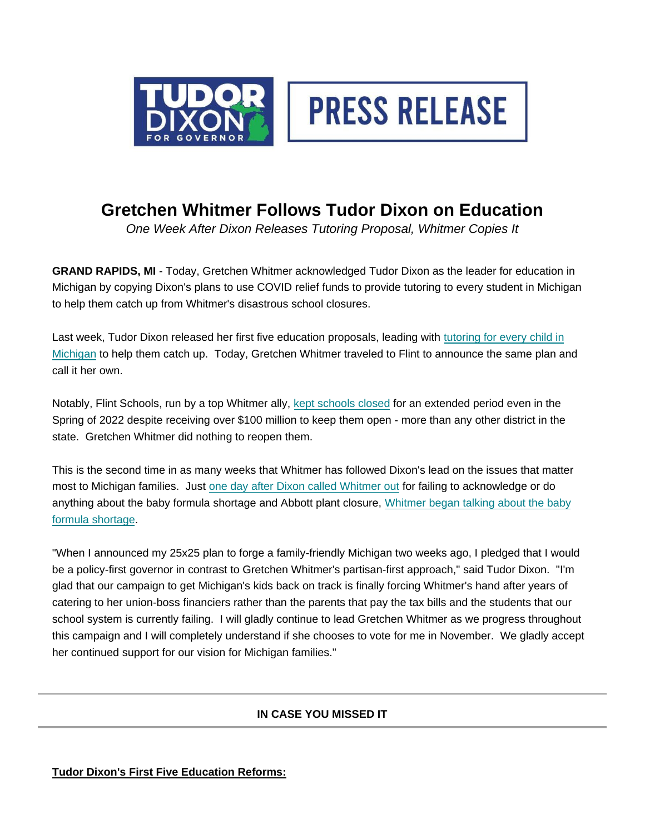



## **Gretchen Whitmer Follows Tudor Dixon on Education**

*One Week After Dixon Releases Tutoring Proposal, Whitmer Copies It*

**GRAND RAPIDS, MI** - Today, Gretchen Whitmer acknowledged Tudor Dixon as the leader for education in Michigan by copying Dixon's plans to use COVID relief funds to provide tutoring to every student in Michigan to help them catch up from Whitmer's disastrous school closures.

Last week, Tudor Dixon released her first five education proposals, leading wit[h tutoring for every child in](https://us1.campaign-archive.com/?u=caec57166d900be373be62dcc&id=c2e9e684df) [Michigan](https://us1.campaign-archive.com/?u=caec57166d900be373be62dcc&id=c2e9e684df) to help them catch up. Today, Gretchen Whitmer traveled to Flint to announce the same plan and call it her own.

Notably, Flint Schools, run by a top Whitmer ally, kept schools closed for an extended period even in the Spring of 2022 despite receiving over \$100 million to keep them open - more than any other district in the state. Gretchen Whitmer did nothing to reopen them.

This is the second time in as many weeks that Whitmer has followed Dixon's lead on the issues that matter most to Michigan families. Just [one day after Dixon called Whitmer out](https://twitter.com/TudorDixon/status/1525218154758164481?s=20&t=L27HlsLPR-JEOZRgrPhLQA) for failing to acknowledge or do anything about the baby formula shortage and Abbott plant closure, [Whitmer began talking about the baby](https://twitter.com/TudorDixon/status/1525218154758164481?s=20&t=L27HlsLPR-JEOZRgrPhLQA) [formula shortage.](https://twitter.com/TudorDixon/status/1525218154758164481?s=20&t=L27HlsLPR-JEOZRgrPhLQA) 

"When I announced my 25x25 plan to forge a family-friendly Michigan two weeks ago, I pledged that I would be a policy-first governor in contrast to Gretchen Whitmer's partisan-first approach," said Tudor Dixon. "I'm glad that our campaign to get Michigan's kids back on track is finally forcing Whitmer's hand after years of catering to her union-boss financiers rather than the parents that pay the tax bills and the students that our school system is currently failing. I will gladly continue to lead Gretchen Whitmer as we progress throughout this campaign and I will completely understand if she chooses to vote for me in November. We gladly accept her continued support for our vision for Michigan families."

## **IN CASE YOU MISSED IT**

**Tudor Dixon's First Five Education Reforms:**